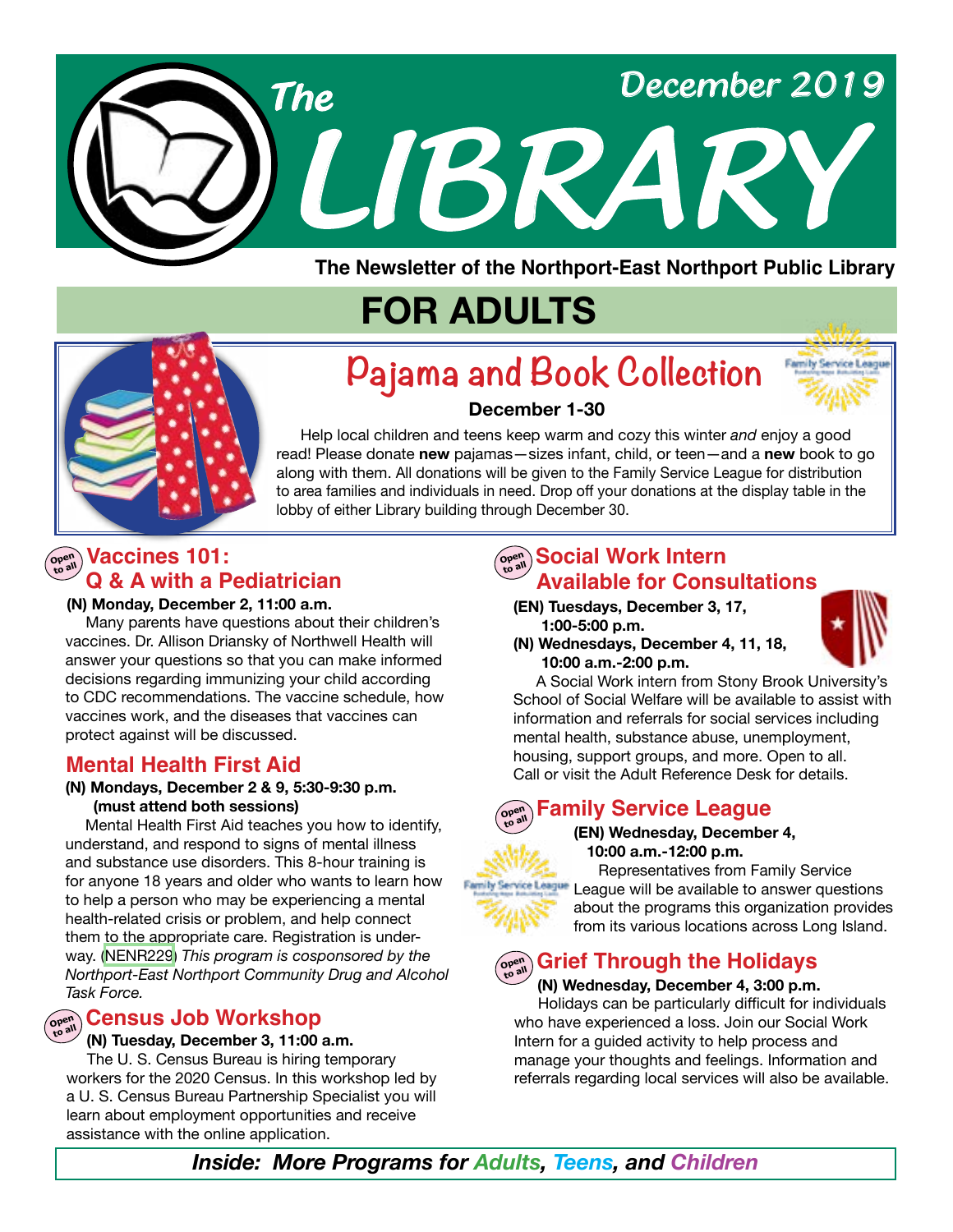

**The Newsletter of the Northport-East Northport Public Library**

# **FOR ADULTS**



# **Pajama and Book Collection**



### **December 1-30**

 Help local children and teens keep warm and cozy this winter *and* enjoy a good read! Please donate **new** pajamas—sizes infant, child, or teen—and a **new** book to go along with them. All donations will be given to the Family Service League for distribution to area families and individuals in need. Drop off your donations at the display table in the lobby of either Library building through December 30.

### **Open Vaccines 101: Q & A with a Pediatrician**

### **(N) Monday, December 2, 11:00 a.m.**

Many parents have questions about their children's vaccines. Dr. Allison Driansky of Northwell Health will answer your questions so that you can make informed decisions regarding immunizing your child according to CDC recommendations. The vaccine schedule, how vaccines work, and the diseases that vaccines can protect against will be discussed.

### **Mental Health First Aid**

### **(N) Mondays, December 2 & 9, 5:30-9:30 p.m. (must attend both sessions)**

 Mental Health First Aid teaches you how to identify, understand, and respond to signs of mental illness and substance use disorders. This 8-hour training is for anyone 18 years and older who wants to learn how to help a person who may be experiencing a mental health-related crisis or problem, and help connect them to the appropriate care. Registration is underway. [\(NENR229](https://search.livebrary.com/record=g1095668~S43)) *This program is cosponsored by the Northport-East Northport Community Drug and Alcohol Task Force.*

### $\widehat{\mathcal{C}}$ ensus Job Workshop

### **(N) Tuesday, December 3, 11:00 a.m.**

The U. S. Census Bureau is hiring temporary workers for the 2020 Census. In this workshop led by a U. S. Census Bureau Partnership Specialist you will learn about employment opportunities and receive assistance with the online application.

### $\left(\begin{smallmatrix} \mathsf{open}\ \mathsf{out} \ \mathsf{non}\ \mathsf{to} \end{smallmatrix}\right)$  **Social Work Intern Available for Consultations**

- **(EN) Tuesdays, December 3, 17, 1:00-5:00 p.m.**
- **(N) Wednesdays, December 4, 11, 18, 10:00 a.m.-2:00 p.m.**



 A Social Work intern from Stony Brook University's School of Social Welfare will be available to assist with information and referrals for social services including mental health, substance abuse, unemployment, housing, support groups, and more. Open to all. Call or visit the Adult Reference Desk for details.

#### **Family Service League Open to all**

### **(EN) Wednesday, December 4, 10:00 a.m.-12:00 p.m.**

Representatives from Family Service **League League will be available to answer questions** about the programs this organization provides from its various locations across Long Island.

#### **Open Grief Through the Holidays**

### **(N) Wednesday, December 4, 3:00 p.m.**

Holidays can be particularly difficult for individuals who have experienced a loss. Join our Social Work Intern for a guided activity to help process and manage your thoughts and feelings. Information and referrals regarding local services will also be available.

*Inside: More Programs for Adults, Teens, and Children*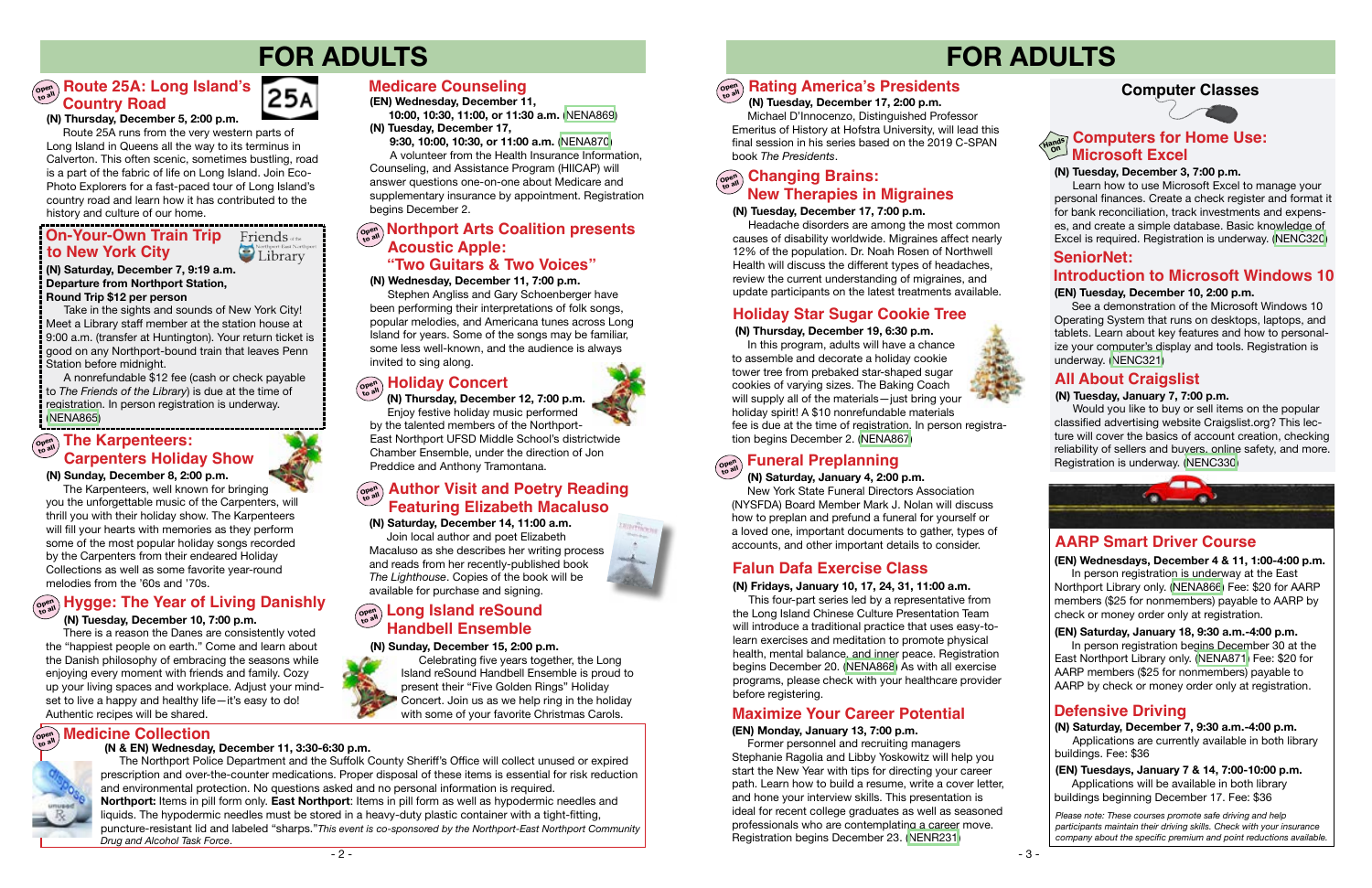# **FOR ADULTS**

### **Computer Classes**



# **FOR ADULTS**

### **(N) Tuesday, December 3, 7:00 p.m.**

 Learn how to use Microsoft Excel to manage your personal finances. Create a check register and format it for bank reconciliation, track investments and expenses, and create a simple database. Basic knowledge of Excel is required. Registration is underway. ([NENC320](http://NENC320))

See a demonstration of the Microsoft Windows 10 Operating System that runs on desktops, laptops, and tablets. Learn about key features and how to personalize your computer's display and tools. Registration is underway. ([NENC321](https://search.livebrary.com/record=g1057785~S43))

### **(N) Tuesday, January 7, 7:00 p.m.**

Would you like to buy or sell items on the popular classified advertising website Craigslist.org? This lecture will cover the basics of account creation, checking reliability of sellers and buyers, online safety, and more. Registration is underway. [\(NENC330\)](https://search.livebrary.com/record=g1087104~S43)



### **(N) Sunday, December 8, 2:00 p.m.**

 The Karpenteers, well known for bringing you the unforgettable music of the Carpenters, will thrill you with their holiday show. The Karpenteers will fill your hearts with memories as they perform some of the most popular holiday songs recorded by the Carpenters from their endeared Holiday Collections as well as some favorite year-round melodies from the '60s and '70s.

#### **Computers for Home Use: Hands On Microsoft Excel**

### **Defensive Driving**

### **AARP Smart Driver Course**

Take in the sights and sounds of New York City! Meet a Library staff member at the station house at 9:00 a.m. (transfer at Huntington). Your return ticket is good on any Northport-bound train that leaves Penn Station before midnight.

> **(EN) Tuesdays, January 7 & 14, 7:00-10:00 p.m.** Applications will be available in both library buildings beginning December 17. Fee: \$36

 **(EN) Wednesdays, December 4 & 11, 1:00-4:00 p.m.**

In person registration is underway at the East Northport Library only. [\(NENA866\)](https://search.livebrary.com/record=g1095130~S43) Fee: \$20 for AARP members (\$25 for nonmembers) payable to AARP by check or money order only at registration.

**(N) Saturday, December 7, 9:30 a.m.-4:00 p.m.** Applications are currently available in both library buildings. Fee: \$36

#### **Open to all Holiday Concert**



### **(N) Fridays, January 10, 17, 24, 31, 11:00 a.m.**

### **Open to all The Karpenteers: Carpenters Holiday Show**

This four-part series led by a representative from the Long Island Chinese Culture Presentation Team will introduce a traditional practice that uses easy-tolearn exercises and meditation to promote physical health, mental balance, and inner peace. Registration begins December 20. ([NENA868](https://search.livebrary.com/record=g1096019~S43)) As with all exercise programs, please check with your healthcare provider before registering.

### **Falun Dafa Exercise Class**

*Please note: These courses promote safe driving and help participants maintain their driving skills. Check with your insurance company about the specific premium and point reductions available.*

### **(N) Saturday, December 7, 9:19 a.m. Departure from Northport Station, Round Trip \$12 per person**

A nonrefundable \$12 fee (cash or check payable to *The Friends of the Library*) is due at the time of registration. In person registration is underway. ([NENA865](https://search.livebrary.com/record=g1095151~S43))

### **On-Your-Own Train Trip to New York City**

### **Friends** of the Northport-East Northport

## **Open to all Hygge: The Year of Living Danishly**

### **(N) Tuesday, December 10, 7:00 p.m.**

 There is a reason the Danes are consistently voted the "happiest people on earth." Come and learn about the Danish philosophy of embracing the seasons while enjoying every moment with friends and family. Cozy up your living spaces and workplace. Adjust your mindset to live a happy and healthy life—it's easy to do! Authentic recipes will be shared.

## $\begin{array}{c}\n\text{OPE}^{\text{open}} \\
\text{M}^{\text{open}}\n\end{array}$  **Medicine Collection**

### **(EN) Tuesday, December 10, 2:00 p.m. SeniorNet: Introduction to Microsoft Windows 10**

### **(N & EN) Wednesday, December 11, 3:30-6:30 p.m.**



 The Northport Police Department and the Suffolk County Sheriff's Office will collect unused or expired prescription and over-the-counter medications. Proper disposal of these items is essential for risk reduction and environmental protection. No questions asked and no personal information is required. **Northport:** Items in pill form only. **East Northport**: Items in pill form as well as hypodermic needles and liquids. The hypodermic needles must be stored in a heavy-duty plastic container with a tight-fitting, puncture-resistant lid and labeled "sharps."*This event is co-sponsored by the Northport-East Northport Community Drug and Alcohol Task Force*.

### **Open Boute 25A: Long Island's Country Road**



 **(N) Thursday, December 12, 7:00 p.m.** Enjoy festive holiday music performed by the talented members of the Northport-East Northport UFSD Middle School's districtwide Chamber Ensemble, under the direction of Jon Preddice and Anthony Tramontana.

### **(N) Saturday, December 14, 11:00 a.m.**

 Join local author and poet Elizabeth Macaluso as she describes her writing process and reads from her recently-published book *The Lighthouse*. Copies of the book will be available for purchase and signing.

### **Open to all Author Visit and Poetry Reading Featuring Elizabeth Macaluso**

### **(N) Sunday, December 15, 2:00 p.m.**

### **Open to all Long Island reSound Handbell Ensemble**

 Celebrating five years together, the Long Island reSound Handbell Ensemble is proud to present their "Five Golden Rings" Holiday Concert. Join us as we help ring in the holiday with some of your favorite Christmas Carols.

### **(N) Tuesday, December 17, 7:00 p.m.**

### **Open to all Changing Brains: New Therapies in Migraines**

 Headache disorders are among the most common causes of disability worldwide. Migraines affect nearly 12% of the population. Dr. Noah Rosen of Northwell Health will discuss the different types of headaches, review the current understanding of migraines, and update participants on the latest treatments available.

 **(N) Thursday, December 19, 6:30 p.m.**

In this program, adults will have a chance to assemble and decorate a holiday cookie tower tree from prebaked star-shaped sugar cookies of varying sizes. The Baking Coach will supply all of the materials—just bring your holiday spirit! A \$10 nonrefundable materials fee is due at the time of registration. In person registration begins December 2. ([NENA867\)](https://search.livebrary.com/record=g1096017~S43)

### **Holiday Star Sugar Cookie Tree**



### **(N) Saturday, January 4, 2:00 p.m.**

 New York State Funeral Directors Association (NYSFDA) Board Member Mark J. Nolan will discuss how to preplan and prefund a funeral for yourself or a loved one, important documents to gather, types of accounts, and other important details to consider.

### **(EN) Wednesday, December 11,**

 **10:00, 10:30, 11:00, or 11:30 a.m.** ([NENA869](https://search.livebrary.com/record=g1096076~S43)) **(N) Tuesday, December 17,**

 **9:30, 10:00, 10:30, or 11:00 a.m.** [\(NENA870\)](https://search.livebrary.com/record=g1096077~S43)

A volunteer from the Health Insurance Information, Counseling, and Assistance Program (HIICAP) will answer questions one-on-one about Medicare and supplementary insurance by appointment. Registration begins December 2.

### **Medicare Counseling**

### **All About Craigslist**

### **(EN) Saturday, January 18, 9:30 a.m.-4:00 p.m.**

In person registration begins December 30 at the East Northport Library only. ([NENA871](https://search.livebrary.com/record=g1096021~S43)) Fee: \$20 for AARP members (\$25 for nonmembers) payable to AARP by check or money order only at registration.

### **Maximize Your Career Potential**

### **(EN) Monday, January 13, 7:00 p.m.**

Former personnel and recruiting managers Stephanie Ragolia and Libby Yoskowitz will help you start the New Year with tips for directing your career path. Learn how to build a resume, write a cover letter, and hone your interview skills. This presentation is ideal for recent college graduates as well as seasoned professionals who are contemplating a career move. Registration begins December 23. ([NENR231\)](https://search.livebrary.com/record=g1096117~S43)

#### **Open to all Rating America's Presidents**

 **(N) Tuesday, December 17, 2:00 p.m.**

Michael D'Innocenzo, Distinguished Professor Emeritus of History at Hofstra University, will lead this final session in his series based on the 2019 C-SPAN book *The Presidents*.

**(N) Thursday, December 5, 2:00 p.m.**

Route 25A runs from the very western parts of Long Island in Queens all the way to its terminus in Calverton. This often scenic, sometimes bustling, road is a part of the fabric of life on Long Island. Join Eco-Photo Explorers for a fast-paced tour of Long Island's country road and learn how it has contributed to the history and culture of our home.

### **(N) Wednesday, December 11, 7:00 p.m.**

 Stephen Angliss and Gary Schoenberger have been performing their interpretations of folk songs, popular melodies, and Americana tunes across Long Island for years. Some of the songs may be familiar, some less well-known, and the audience is always invited to sing along.

### **Acoustic Apple: Morthport Arts Coalition presents "Two Guitars & Two Voices"**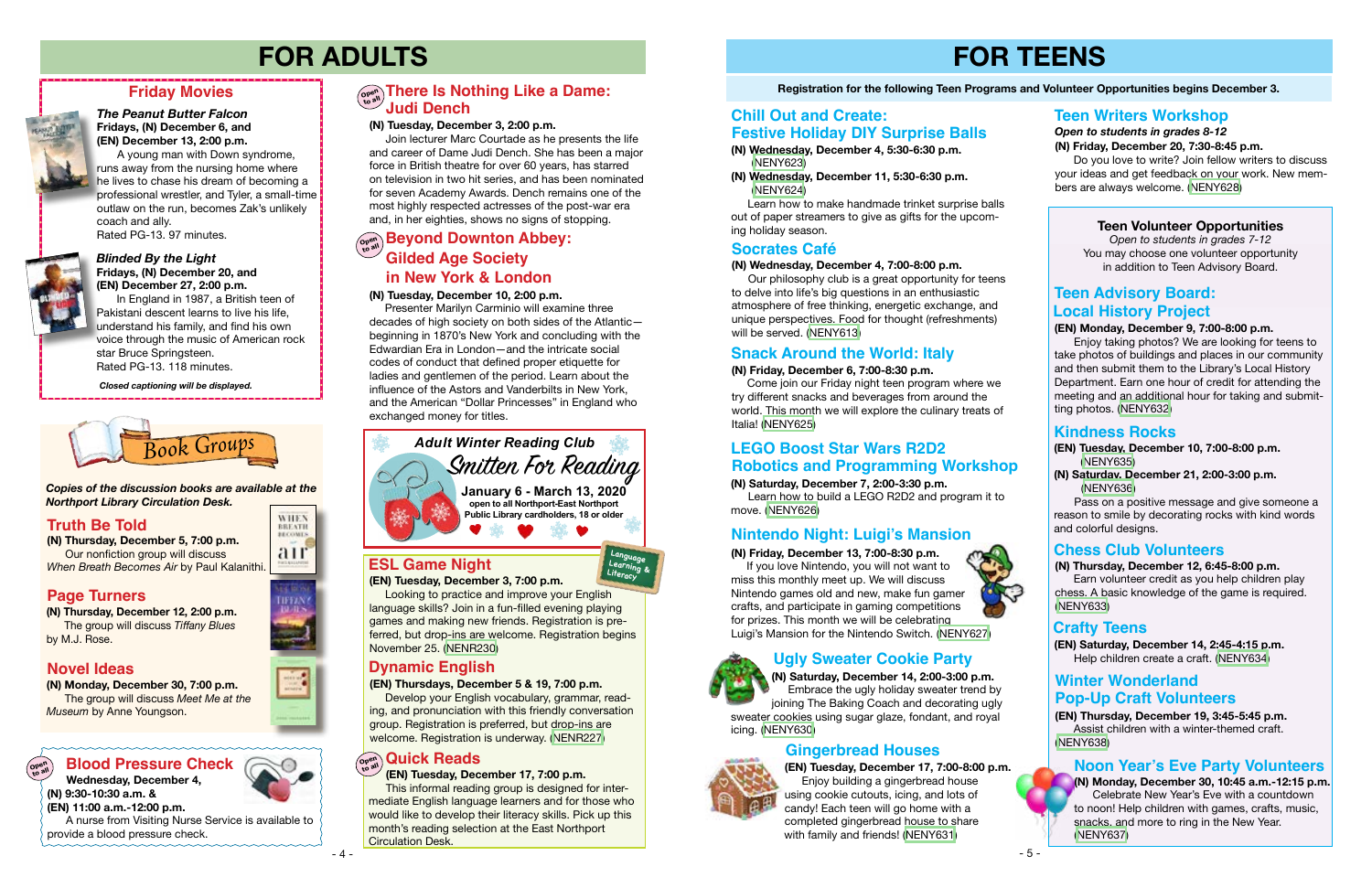# **FOR TEENS**

### **Registration for the following Teen Programs and Volunteer Opportunities begins December 3.**

### **Snack Around the World: Italy**

### **Teen Volunteer Opportunities**

*Open to students in grades 7-12* You may choose one volunteer opportunity in addition to Teen Advisory Board.



**(EN) December 27, 2:00 p.m.** In England in 1987, a British teen of Pakistani descent learns to live his life, understand his family, and find his own

voice through the music of American rock star Bruce Springsteen. Rated PG-13. 118 minutes.

## **Friday Movies**



### *The Peanut Butter Falcon* **Fridays, (N) December 6, and (EN) December 13, 2:00 p.m.**

A young man with Down syndrome, runs away from the nursing home where he lives to chase his dream of becoming a professional wrestler, and Tyler, a small-time outlaw on the run, becomes Zak's unlikely coach and ally. Rated PG-13. 97 minutes.

*Closed captioning will be displayed.*

# **FOR ADULTS**

**(N) Thursday, December 5, 7:00 p.m.** Our nonfiction group will discuss *When Breath Becomes Air* by Paul Kalanithi.



**(N) Monday, December 30, 7:00 p.m.** The group will discuss *Meet Me at the Museum* by Anne Youngson.

## **Blood Pressure Check**  $\bigcirc$  **and**  $\bigcirc$  **all <b>Quick Reads**

### **Truth Be Told Truth Be Told**

**(N) Thursday, December 12, 2:00 p.m.** The group will discuss *Tiffany Blues* by M.J. Rose.

### *Copies of the discussion books are available at the Northport Library Circulation Desk.*

### **Novel Ideas**

### **Page Turners**

### **(EN) Monday, December 9, 7:00-8:00 p.m.**

 Enjoy taking photos? We are looking for teens to take photos of buildings and places in our community and then submit them to the Library's Local History Department. Earn one hour of credit for attending the meeting and an additional hour for taking and submitting photos. [\(NENY632](https://search.livebrary.com/record=g1096058~S43))

### **(N) Thursday, December 12, 6:45-8:00 p.m.**

### **Teen Advisory Board: Local History Project**

 Earn volunteer credit as you help children play chess. A basic knowledge of the game is required. ([NENY633](https://search.livebrary.com/record=g1096060~S43))

### **Chess Club Volunteers**

### **(N) Friday, December 13, 7:00-8:30 p.m.**

 If you love Nintendo, you will not want to miss this monthly meet up. We will discuss Nintendo games old and new, make fun gamer crafts, and participate in gaming competitions for prizes. This month we will be celebrating Luigi's Mansion for the Nintendo Switch. ([NENY627\)](https://search.livebrary.com/record=g1095957~S43)



### **Nintendo Night: Luigi's Mansion**

**(EN) Thursday, December 19, 3:45-5:45 p.m.** Assist children with a winter-themed craft. ([NENY638](https://search.livebrary.com/record=g1096072~S43))

### **(N) Wednesday, December 4, 7:00-8:00 p.m.**

 Our philosophy club is a great opportunity for teens to delve into life's big questions in an enthusiastic atmosphere of free thinking, energetic exchange, and unique perspectives. Food for thought (refreshments) will be served. ([NENY613\)](https://search.livebrary.com/record=g1095064~S43)

### $\left(\begin{smallmatrix} \mathbf{Cov}(n) \ \mathbf{Cov}(n) \end{smallmatrix}\right)$  **Beyond Downton Abbey: Gilded Age Society in New York & London**

### **Socrates Café**

**(EN) Tuesday, December 10, 7:00-8:00 p.m.** ([NENY635](https://search.livebrary.com/record=g1096070~S43))

**(N) Saturday, December 21, 2:00-3:00 p.m.** ([NENY636\)](https://search.livebrary.com/record=g1096071~S43)

Pass on a positive message and give someone a reason to smile by decorating rocks with kind words and colorful designs.

### **Kindness Rocks**

**(EN) Saturday, December 14, 2:45-4:15 p.m.** Help children create a craft. ([NENY634](https://search.livebrary.com/record=g1096061~S43))

### **Crafty Teens**

**(N) Monday, December 30, 10:45 a.m.-12:15 p.m.** Celebrate New Year's Eve with a countdown to noon! Help children with games, crafts, music, snacks, and more to ring in the New Year. ([NENY637](https://search.livebrary.com/record=g1096074~S43))



### **Noon Year's Eve Party Volunteers**

### **(EN) Tuesday, December 3, 7:00 p.m.**

Looking to practice and improve your English language skills? Join in a fun-filled evening playing games and making new friends. Registration is preferred, but drop-ins are welcome. Registration begins November 25. [\(NENR230](https://search.livebrary.com/record=g1096086~S43))

### **ESL Game Night**

### **(N) Saturday, December 7, 2:00-3:30 p.m.**

 Learn how to build a LEGO R2D2 and program it to move. ([NENY626\)](https://search.livebrary.com/record=g1095954~S43)

### **LEGO Boost Star Wars R2D2 Robotics and Programming Workshop**

 **Wednesday, December 4, (N) 9:30-10:30 a.m. & (EN) 11:00 a.m.-12:00 p.m.** 

 A nurse from Visiting Nurse Service is available to provide a blood pressure check.

### **(EN) Tuesday, December 17, 7:00 p.m.**

 This informal reading group is designed for intermediate English language learners and for those who would like to develop their literacy skills. Pick up this month's reading selection at the East Northport Circulation Desk.

**Winter Wonderland Pop-Up Craft Volunteers**

### **(N) Tuesday, December 10, 2:00 p.m.**

Presenter Marilyn Carminio will examine three decades of high society on both sides of the Atlantic beginning in 1870's New York and concluding with the Edwardian Era in London—and the intricate social codes of conduct that defined proper etiquette for ladies and gentlemen of the period. Learn about the influence of the Astors and Vanderbilts in New York, and the American "Dollar Princesses" in England who exchanged money for titles.

### **(N) Tuesday, December 3, 2:00 p.m.**

 Join lecturer Marc Courtade as he presents the life and career of Dame Judi Dench. She has been a major force in British theatre for over 60 years, has starred on television in two hit series, and has been nominated for seven Academy Awards. Dench remains one of the most highly respected actresses of the post-war era and, in her eighties, shows no signs of stopping.

### **Open to all There Is Nothing Like a Dame: Judi Dench**

**Open to all**

- **(N) Wednesday, December 4, 5:30-6:30 p.m.**  ([NENY623\)](https://search.livebrary.com/record=g1095958~S43)
- **(N) Wednesday, December 11, 5:30-6:30 p.m.** ([NENY624\)](https://search.livebrary.com/record=g1095959~S43)

 Learn how to make handmade trinket surprise balls out of paper streamers to give as gifts for the upcoming holiday season.

### **Chill Out and Create: Festive Holiday DIY Surprise Balls**

### **(N) Friday, December 6, 7:00-8:30 p.m.**

 Come join our Friday night teen program where we try different snacks and beverages from around the world. This month we will explore the culinary treats of Italia! ([NENY625](https://search.livebrary.com/record=g1095953~S43))

### **(N) Saturday, December 14, 2:00-3:00 p.m.**

 Embrace the ugly holiday sweater trend by joining The Baking Coach and decorating ugly sweater cookies using sugar glaze, fondant, and royal icing. [\(NENY630](https://search.livebrary.com/record=g1095962~S43))

### **Ugly Sweater Cookie Party**

*Open to students in grades 8-12* **(N) Friday, December 20, 7:30-8:45 p.m.**

 Do you love to write? Join fellow writers to discuss your ideas and get feedback on your work. New members are always welcome. ([NENY628\)](https://search.livebrary.com/record=g1095964~S43)

### **Teen Writers Workshop**

**(EN) Tuesday, December 17, 7:00-8:00 p.m.** Enjoy building a gingerbread house using cookie cutouts, icing, and lots of candy! Each teen will go home with a completed gingerbread house to share with family and friends! ([NENY631\)](https://search.livebrary.com/record=g1095969~S43)



**WHEN** 

**BBEATH RECOMES** air

**LIFTAN** 

### **Gingerbread Houses**





**Learning & Literacy**

### **(EN) Thursdays, December 5 & 19, 7:00 p.m.**

Develop your English vocabulary, grammar, reading, and pronunciation with this friendly conversation group. Registration is preferred, but drop-ins are welcome. Registration is underway. [\(NENR227](https://search.livebrary.com/record=g1095358~S43))

### **Dynamic English**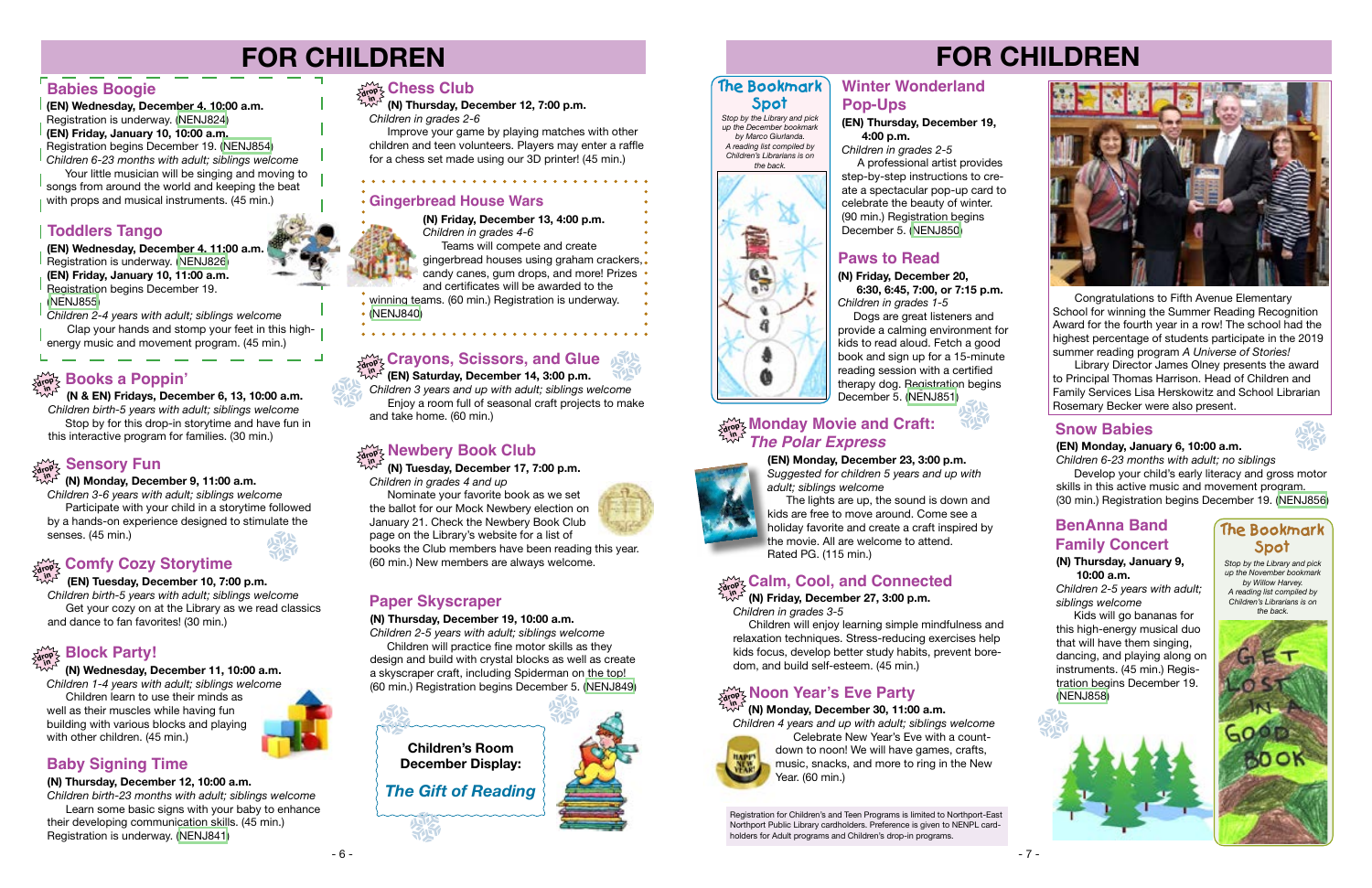# **FOR CHILDREN**

# **FOR CHILDREN**



# **drop in Newbery Book Club**

Nominate your favorite book as we set the ballot for our Mock Newbery election on January 21. Check the Newbery Book Club page on the Library's website for a list of books the Club members have been reading this year. (60 min.) New members are always welcome. **Stop by the Library and pick intervalsed and pick in the Library and pick (N) Thursday, January 9,** stop by the Library and pick

 **(N) Tuesday, December 17, 7:00 p.m.** *Children in grades 4 and up*

> *up the November bookmark by Willow Harvey. A reading list compiled by Children's Librarians is on the back.*



 **(N) Monday, December 9, 11:00 a.m.**

Library Director James Olney presents the award to Principal Thomas Harrison. Head of Children and Family Services Lisa Herskowitz and School Librarian Rosemary Becker were also present.

*Children 3-6 years with adult; siblings welcome* Participate with your child in a storytime followed by a hands-on experience designed to stimulate the senses. (45 min.)



The lights are up, the sound is down and kids are free to move around. Come see a holiday favorite and create a craft inspired by the movie. All are welcome to attend. Rated PG. (115 min.)

### **Monday Movie and Craft:** *drop drop drop d* **<b>***d d d d d d d d d d d d d d d d d d d d d d d d d d d The Polar Express*

 Congratulations to Fifth Avenue Elementary School for winning the Summer Reading Recognition Award for the fourth year in a row! The school had the highest percentage of students participate in the 2019 summer reading program *A Universe of Stories!*

 **(N) Monday, December 30, 11:00 a.m.**

*Children 4 years and up with adult; siblings welcome*



Your little musician will be singing and moving to songs from around the world and keeping the beat with props and musical instruments. (45 min.)

> Celebrate New Year's Eve with a countdown to noon! We will have games, crafts, music, snacks, and more to ring in the New Year. (60 min.)



**(N) Thursday, December 19, 10:00 a.m.**

*Children 2-5 years with adult; siblings welcome*

**(N) Friday, December 13, 4:00 p.m.** *Children in grades 4-6* Teams will compete and create gingerbread houses using graham crackers,

 Children will practice fine motor skills as they design and build with crystal blocks as well as create a skyscraper craft, including Spiderman on the top! (60 min.) Registration begins December 5. ([NENJ849](https://search.livebrary.com/record=g1095972~S43))

### **Paper Skyscraper**

 **(N) Thursday, December 12, 7:00 p.m.** *Children in grades 2-6*

 Improve your game by playing matches with other children and teen volunteers. Players may enter a raffle for a chess set made using our 3D printer! (45 min.)

**(EN) Wednesday, December 4, 10:00 a.m.**  Registration is underway. [\(NENJ824\)](https://search.livebrary.com/record=g1094842~S43) **(EN) Friday, January 10, 10:00 a.m.**  Registration begins December 19. [\(NENJ854](https://search.livebrary.com/record=g1095254~S43)) *Children 6-23 months with adult; siblings welcome*

> Dogs are great listeners and provide a calming environment for kids to read aloud. Fetch a good book and sign up for a 15-minute reading session with a certified therapy dog. Registration begins December 5. [\(NENJ851\)](https://search.livebrary.com/record=g1095973~S43)

### **Babies Boogie**

**(EN) Wednesday, December 4, 11:00 a.m.** Registration is underway. [\(NENJ826\)](https://search.livebrary.com/record=g1094843~S43) **(EN) Friday, January 10, 11:00 a.m.**  Registration begins December 19. [\(NENJ855\)](https://search.livebrary.com/record=g1095257~S43)

*Children 2-4 years with adult; siblings welcome* Clap your hands and stomp your feet in this highenergy music and movement program. (45 min.)

### **Toddlers Tango**

 **(N & EN) Fridays, December 6, 13, 10:00 a.m.** *Children birth-5 years with adult; siblings welcome* Stop by for this drop-in storytime and have fun in this interactive program for families. (30 min.)

# **Sensory Fun**

## **drop in Books a Poppin'**

### **(EN) Tuesday, December 10, 7:00 p.m.**

*Children birth-5 years with adult; siblings welcome* Get your cozy on at the Library as we read classics and dance to fan favorites! (30 min.)

# **Comfy Cozy Storytime drop in**

### **(N) Wednesday, December 11, 10:00 a.m.**

*Children 1-4 years with adult; siblings welcome*

 Children learn to use their minds as well as their muscles while having fun building with various blocks and playing with other children. (45 min.)

# **drop in Block Party!**

### **(N) Thursday, December 12, 10:00 a.m.**

*Children birth-23 months with adult; siblings welcome*  Learn some basic signs with your baby to enhance their developing communication skills. (45 min.) Registration is underway. ([NENJ841](http://NENJ841))

## $\lim_{\delta n \to \infty}$  Chess Club

### **Baby Signing Time**

### **Gingerbread House Wars**

candy canes, gum drops, and more! Prizes and certificates will be awarded to the winning teams. (60 min.) Registration is underway.

. . . . . . . . . . . . . .

[\(NENJ840](https://search.livebrary.com/record=g1093303~S43))

 **(EN) Saturday, December 14, 3:00 p.m.** *Children 3 years and up with adult; siblings welcome* Enjoy a room full of seasonal craft projects to make and take home. (60 min.)

## **Crayons, Scissors, and Glue drop in**

**(EN) Thursday, December 19, 4:00 p.m.**

*Children in grades 2-5* A professional artist provides

step-by-step instructions to create a spectacular pop-up card to celebrate the beauty of winter. (90 min.) Registration begins December 5. ([NENJ850](https://search.livebrary.com/record=g1094844~S43))

### **Paws to Read**

**(N) Friday, December 20, 6:30, 6:45, 7:00, or 7:15 p.m.**

*Children in grades 1-5*

 **(N) Friday, December 27, 3:00 p.m.** *Children in grades 3-5*

Children will enjoy learning simple mindfulness and relaxation techniques. Stress-reducing exercises help kids focus, develop better study habits, prevent boredom, and build self-esteem. (45 min.)

# **drop Xear's Eve Party**

# **drop Calm, Cool, and Connected in**





### **Winter Wonderland Pop-Ups**

*Children 6-23 months with adult; no siblings* Develop your child's early literacy and gross motor skills in this active music and movement program. (30 min.) Registration begins December 19. ([NENJ856](https://search.livebrary.com/record=g1095259~S43))

### **Snow Babies**

### **(N) Thursday, January 9, 10:00 a.m.**

*Children 2-5 years with adult; siblings welcome*

 Kids will go bananas for this high-energy musical duo that will have them singing, dancing, and playing along on instruments. (45 min.) Registration begins December 19. ([NENJ858](https://search.livebrary.com/record=g1095975~S43))



### **BenAnna Band Family Concert**

Registration for Children's and Teen Programs is limited to Northport-East Northport Public Library cardholders. Preference is given to NENPL cardholders for Adult programs and Children's drop-in programs.







### **The Bookmark Spot**

*Stop by the Library and pick up the December bookmark by Marco Giurlanda. A reading list compiled by Children's Librarians is on the back.*



### **The Bookmark Spot**